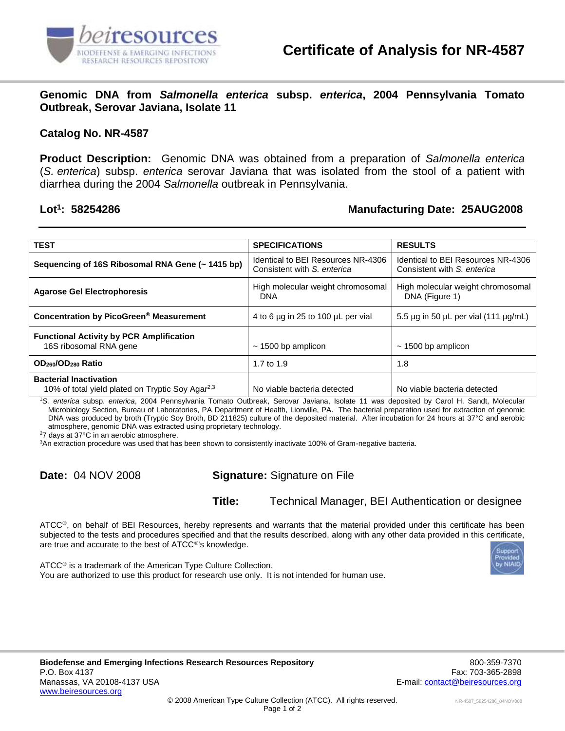

**Genomic DNA from** *Salmonella enterica* **subsp.** *enterica***, 2004 Pennsylvania Tomato Outbreak, Serovar Javiana, Isolate 11**

## **Catalog No. NR-4587**

**Product Description:** Genomic DNA was obtained from a preparation of *Salmonella enterica* (*S. enterica*) subsp. *enterica* serovar Javiana that was isolated from the stool of a patient with diarrhea during the 2004 *Salmonella* outbreak in Pennsylvania.

## Lot<sup>1</sup>: 58254286

## **: 58254286 Manufacturing Date: 25AUG2008**

| <b>TEST</b>                                                                                   |                                                                   | <b>RESULTS</b>                                                    |
|-----------------------------------------------------------------------------------------------|-------------------------------------------------------------------|-------------------------------------------------------------------|
|                                                                                               | <b>SPECIFICATIONS</b>                                             |                                                                   |
| Sequencing of 16S Ribosomal RNA Gene (~ 1415 bp)                                              | Identical to BEI Resources NR-4306<br>Consistent with S. enterica | Identical to BEI Resources NR-4306<br>Consistent with S. enterica |
| <b>Agarose Gel Electrophoresis</b>                                                            | High molecular weight chromosomal<br><b>DNA</b>                   | High molecular weight chromosomal<br>DNA (Figure 1)               |
| Concentration by PicoGreen <sup>®</sup> Measurement                                           | 4 to 6 µg in 25 to 100 µL per vial                                | 5.5 $\mu$ g in 50 $\mu$ L per vial (111 $\mu$ g/mL)               |
| <b>Functional Activity by PCR Amplification</b><br>16S ribosomal RNA gene                     | $\sim$ 1500 bp amplicon                                           | $\sim$ 1500 bp amplicon                                           |
| OD <sub>260</sub> /OD <sub>280</sub> Ratio                                                    | 1.7 to 1.9                                                        | 1.8                                                               |
| <b>Bacterial Inactivation</b><br>10% of total yield plated on Tryptic Soy Agar <sup>2,3</sup> | No viable bacteria detected                                       | No viable bacteria detected                                       |

<sup>1</sup>*S. enterica* subsp. *enterica*, 2004 Pennsylvania Tomato Outbreak, Serovar Javiana, Isolate 11 was deposited by Carol H. Sandt, Molecular Microbiology Section, Bureau of Laboratories, PA Department of Health, Lionville, PA. The bacterial preparation used for extraction of genomic DNA was produced by broth (Tryptic Soy Broth, BD 211825) culture of the deposited material. After incubation for 24 hours at 37°C and aerobic atmosphere, genomic DNA was extracted using proprietary technology.

<sup>2</sup>7 days at 37°C in an aerobic atmosphere.

<sup>3</sup>An extraction procedure was used that has been shown to consistently inactivate 100% of Gram-negative bacteria.

**Date:** 04 NOV 2008 **Signature:** Signature on File

**Title:** Technical Manager, BEI Authentication or designee

ATCC®, on behalf of BEI Resources, hereby represents and warrants that the material provided under this certificate has been subjected to the tests and procedures specified and that the results described, along with any other data provided in this certificate, are true and accurate to the best of ATCC<sup>®'</sup>s knowledge.

 $ATCC<sup>®</sup>$  is a trademark of the American Type Culture Collection. You are authorized to use this product for research use only. It is not intended for human use.